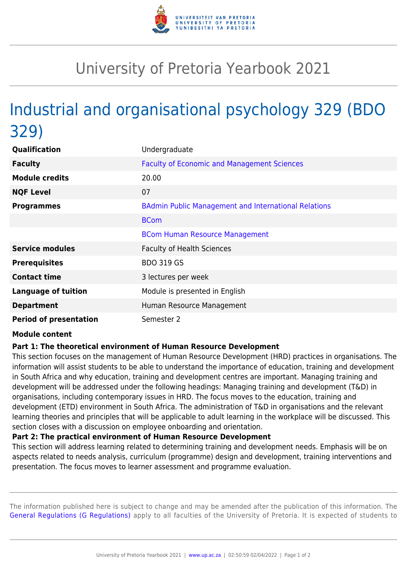

## University of Pretoria Yearbook 2021

# Industrial and organisational psychology 329 (BDO 329)

| Qualification                 | Undergraduate                                               |
|-------------------------------|-------------------------------------------------------------|
| <b>Faculty</b>                | <b>Faculty of Economic and Management Sciences</b>          |
| <b>Module credits</b>         | 20.00                                                       |
| <b>NQF Level</b>              | 07                                                          |
| <b>Programmes</b>             | <b>BAdmin Public Management and International Relations</b> |
|                               | <b>BCom</b>                                                 |
|                               | <b>BCom Human Resource Management</b>                       |
| <b>Service modules</b>        | <b>Faculty of Health Sciences</b>                           |
| <b>Prerequisites</b>          | <b>BDO 319 GS</b>                                           |
| <b>Contact time</b>           | 3 lectures per week                                         |
| <b>Language of tuition</b>    | Module is presented in English                              |
| <b>Department</b>             | Human Resource Management                                   |
| <b>Period of presentation</b> | Semester 2                                                  |

#### **Module content**

### **Part 1: The theoretical environment of Human Resource Development**

This section focuses on the management of Human Resource Development (HRD) practices in organisations. The information will assist students to be able to understand the importance of education, training and development in South Africa and why education, training and development centres are important. Managing training and development will be addressed under the following headings: Managing training and development (T&D) in organisations, including contemporary issues in HRD. The focus moves to the education, training and development (ETD) environment in South Africa. The administration of T&D in organisations and the relevant learning theories and principles that will be applicable to adult learning in the workplace will be discussed. This section closes with a discussion on employee onboarding and orientation.

#### **Part 2: The practical environment of Human Resource Development**

This section will address learning related to determining training and development needs. Emphasis will be on aspects related to needs analysis, curriculum (programme) design and development, training interventions and presentation. The focus moves to learner assessment and programme evaluation.

The information published here is subject to change and may be amended after the publication of this information. The [General Regulations \(G Regulations\)](https://www.up.ac.za/yearbooks/2021/rules/view/REG) apply to all faculties of the University of Pretoria. It is expected of students to